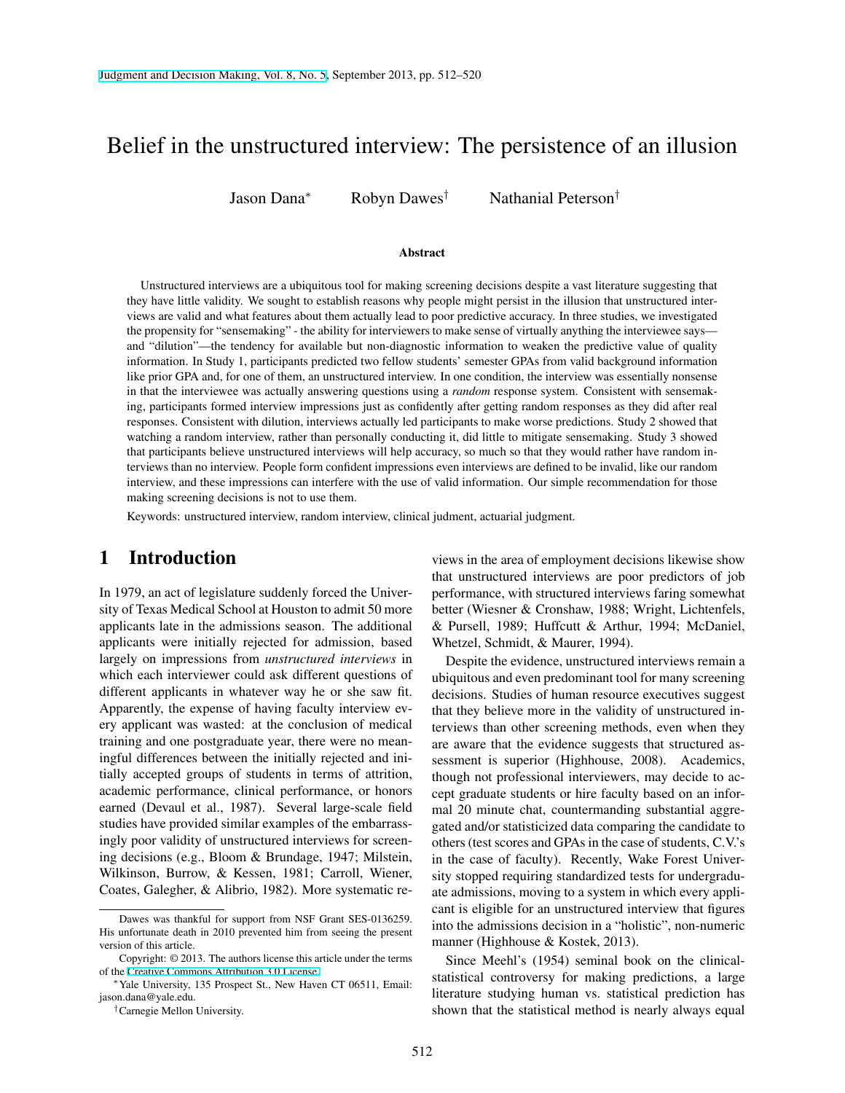# Belief in the unstructured interview: The persistence of an illusion

Jason Dana*<sup>∗</sup>* Robyn Dawes*†* Nathanial Peterson*†*

#### Abstract

Unstructured interviews are a ubiquitous tool for making screening decisions despite a vast literature suggesting that they have little validity. We sought to establish reasons why people might persist in the illusion that unstructured interviews are valid and what features about them actually lead to poor predictive accuracy. In three studies, we investigated the propensity for "sensemaking" - the ability for interviewers to make sense of virtually anything the interviewee says and "dilution"—the tendency for available but non-diagnostic information to weaken the predictive value of quality information. In Study 1, participants predicted two fellow students' semester GPAs from valid background information like prior GPA and, for one of them, an unstructured interview. In one condition, the interview was essentially nonsense in that the interviewee was actually answering questions using a *random* response system. Consistent with sensemaking, participants formed interview impressions just as confidently after getting random responses as they did after real responses. Consistent with dilution, interviews actually led participants to make worse predictions. Study 2 showed that watching a random interview, rather than personally conducting it, did little to mitigate sensemaking. Study 3 showed that participants believe unstructured interviews will help accuracy, so much so that they would rather have random interviews than no interview. People form confident impressions even interviews are defined to be invalid, like our random interview, and these impressions can interfere with the use of valid information. Our simple recommendation for those making screening decisions is not to use them.

Keywords: unstructured interview, random interview, clinical judment, actuarial judgment.

## 1 Introduction

In 1979, an act of legislature suddenly forced the University of Texas Medical School at Houston to admit 50 more applicants late in the admissions season. The additional applicants were initially rejected for admission, based largely on impressions from *unstructured interviews* in which each interviewer could ask different questions of different applicants in whatever way he or she saw fit. Apparently, the expense of having faculty interview every applicant was wasted: at the conclusion of medical training and one postgraduate year, there were no meaningful differences between the initially rejected and initially accepted groups of students in terms of attrition, academic performance, clinical performance, or honors earned (Devaul et al., 1987). Several large-scale field studies have provided similar examples of the embarrassingly poor validity of unstructured interviews for screening decisions (e.g., Bloom & Brundage, 1947; Milstein, Wilkinson, Burrow, & Kessen, 1981; Carroll, Wiener, Coates, Galegher, & Alibrio, 1982). More systematic reviews in the area of employment decisions likewise show that unstructured interviews are poor predictors of job performance, with structured interviews faring somewhat better (Wiesner & Cronshaw, 1988; Wright, Lichtenfels, & Pursell, 1989; Huffcutt & Arthur, 1994; McDaniel, Whetzel, Schmidt, & Maurer, 1994).

Despite the evidence, unstructured interviews remain a ubiquitous and even predominant tool for many screening decisions. Studies of human resource executives suggest that they believe more in the validity of unstructured interviews than other screening methods, even when they are aware that the evidence suggests that structured assessment is superior (Highhouse, 2008). Academics, though not professional interviewers, may decide to accept graduate students or hire faculty based on an informal 20 minute chat, countermanding substantial aggregated and/or statisticized data comparing the candidate to others (test scores and GPAs in the case of students, C.V.'s in the case of faculty). Recently, Wake Forest University stopped requiring standardized tests for undergraduate admissions, moving to a system in which every applicant is eligible for an unstructured interview that figures into the admissions decision in a "holistic", non-numeric manner (Highhouse & Kostek, 2013).

Since Meehl's (1954) seminal book on the clinicalstatistical controversy for making predictions, a large literature studying human vs. statistical prediction has shown that the statistical method is nearly always equal

Dawes was thankful for support from NSF Grant SES-0136259. His unfortunate death in 2010 prevented him from seeing the present version of this article.

Copyright: © 2013. The authors license this article under the terms of the [Creative Commons Attribution 3.0 License.](http://creativecommons.org/licenses/by/3.0/)

*<sup>∗</sup>*Yale University, 135 Prospect St., New Haven CT 06511, Email: jason.dana@yale.edu.

*<sup>†</sup>*Carnegie Mellon University.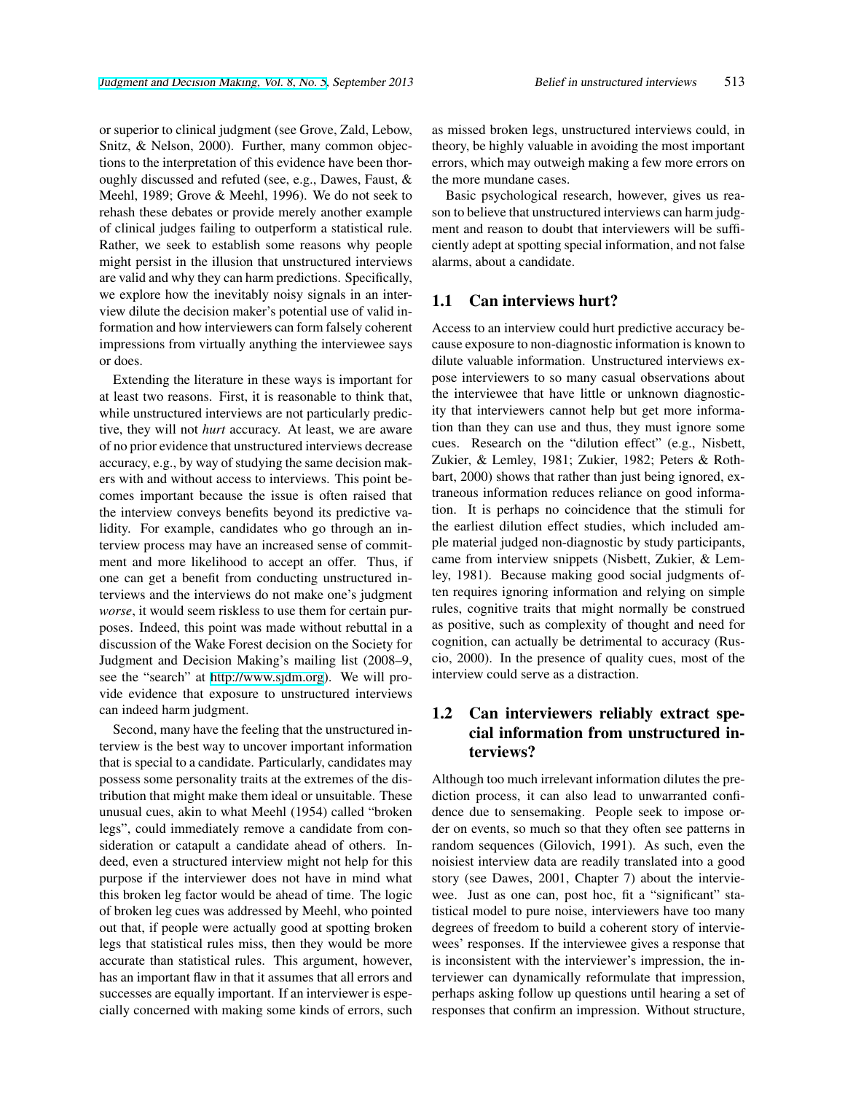or superior to clinical judgment (see Grove, Zald, Lebow, Snitz, & Nelson, 2000). Further, many common objections to the interpretation of this evidence have been thoroughly discussed and refuted (see, e.g., Dawes, Faust, & Meehl, 1989; Grove & Meehl, 1996). We do not seek to rehash these debates or provide merely another example of clinical judges failing to outperform a statistical rule. Rather, we seek to establish some reasons why people might persist in the illusion that unstructured interviews are valid and why they can harm predictions. Specifically, we explore how the inevitably noisy signals in an interview dilute the decision maker's potential use of valid information and how interviewers can form falsely coherent impressions from virtually anything the interviewee says or does.

Extending the literature in these ways is important for at least two reasons. First, it is reasonable to think that, while unstructured interviews are not particularly predictive, they will not *hurt* accuracy. At least, we are aware of no prior evidence that unstructured interviews decrease accuracy, e.g., by way of studying the same decision makers with and without access to interviews. This point becomes important because the issue is often raised that the interview conveys benefits beyond its predictive validity. For example, candidates who go through an interview process may have an increased sense of commitment and more likelihood to accept an offer. Thus, if one can get a benefit from conducting unstructured interviews and the interviews do not make one's judgment *worse*, it would seem riskless to use them for certain purposes. Indeed, this point was made without rebuttal in a discussion of the Wake Forest decision on the Society for Judgment and Decision Making's mailing list (2008–9, see the "search" at [http://www.sjdm.org\)](http://www.sjdm.org). We will provide evidence that exposure to unstructured interviews can indeed harm judgment.

Second, many have the feeling that the unstructured interview is the best way to uncover important information that is special to a candidate. Particularly, candidates may possess some personality traits at the extremes of the distribution that might make them ideal or unsuitable. These unusual cues, akin to what Meehl (1954) called "broken legs", could immediately remove a candidate from consideration or catapult a candidate ahead of others. Indeed, even a structured interview might not help for this purpose if the interviewer does not have in mind what this broken leg factor would be ahead of time. The logic of broken leg cues was addressed by Meehl, who pointed out that, if people were actually good at spotting broken legs that statistical rules miss, then they would be more accurate than statistical rules. This argument, however, has an important flaw in that it assumes that all errors and successes are equally important. If an interviewer is especially concerned with making some kinds of errors, such as missed broken legs, unstructured interviews could, in theory, be highly valuable in avoiding the most important errors, which may outweigh making a few more errors on the more mundane cases.

Basic psychological research, however, gives us reason to believe that unstructured interviews can harm judgment and reason to doubt that interviewers will be sufficiently adept at spotting special information, and not false alarms, about a candidate.

### 1.1 Can interviews hurt?

Access to an interview could hurt predictive accuracy because exposure to non-diagnostic information is known to dilute valuable information. Unstructured interviews expose interviewers to so many casual observations about the interviewee that have little or unknown diagnosticity that interviewers cannot help but get more information than they can use and thus, they must ignore some cues. Research on the "dilution effect" (e.g., Nisbett, Zukier, & Lemley, 1981; Zukier, 1982; Peters & Rothbart, 2000) shows that rather than just being ignored, extraneous information reduces reliance on good information. It is perhaps no coincidence that the stimuli for the earliest dilution effect studies, which included ample material judged non-diagnostic by study participants, came from interview snippets (Nisbett, Zukier, & Lemley, 1981). Because making good social judgments often requires ignoring information and relying on simple rules, cognitive traits that might normally be construed as positive, such as complexity of thought and need for cognition, can actually be detrimental to accuracy (Ruscio, 2000). In the presence of quality cues, most of the interview could serve as a distraction.

### 1.2 Can interviewers reliably extract special information from unstructured interviews?

Although too much irrelevant information dilutes the prediction process, it can also lead to unwarranted confidence due to sensemaking. People seek to impose order on events, so much so that they often see patterns in random sequences (Gilovich, 1991). As such, even the noisiest interview data are readily translated into a good story (see Dawes, 2001, Chapter 7) about the interviewee. Just as one can, post hoc, fit a "significant" statistical model to pure noise, interviewers have too many degrees of freedom to build a coherent story of interviewees' responses. If the interviewee gives a response that is inconsistent with the interviewer's impression, the interviewer can dynamically reformulate that impression, perhaps asking follow up questions until hearing a set of responses that confirm an impression. Without structure,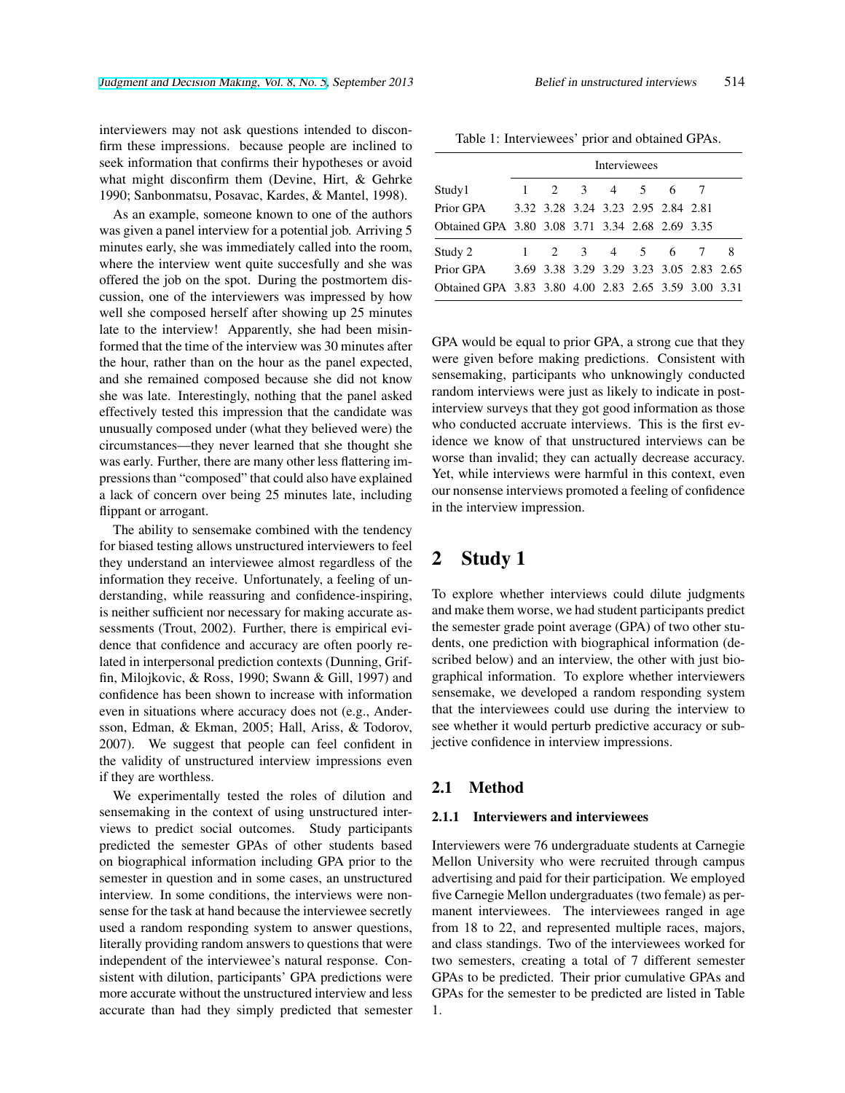interviewers may not ask questions intended to disconfirm these impressions. because people are inclined to seek information that confirms their hypotheses or avoid what might disconfirm them (Devine, Hirt, & Gehrke 1990; Sanbonmatsu, Posavac, Kardes, & Mantel, 1998).

As an example, someone known to one of the authors was given a panel interview for a potential job. Arriving 5 minutes early, she was immediately called into the room, where the interview went quite succesfully and she was offered the job on the spot. During the postmortem discussion, one of the interviewers was impressed by how well she composed herself after showing up 25 minutes late to the interview! Apparently, she had been misinformed that the time of the interview was 30 minutes after the hour, rather than on the hour as the panel expected, and she remained composed because she did not know she was late. Interestingly, nothing that the panel asked effectively tested this impression that the candidate was unusually composed under (what they believed were) the circumstances—they never learned that she thought she was early. Further, there are many other less flattering impressions than "composed" that could also have explained a lack of concern over being 25 minutes late, including flippant or arrogant.

The ability to sensemake combined with the tendency for biased testing allows unstructured interviewers to feel they understand an interviewee almost regardless of the information they receive. Unfortunately, a feeling of understanding, while reassuring and confidence-inspiring, is neither sufficient nor necessary for making accurate assessments (Trout, 2002). Further, there is empirical evidence that confidence and accuracy are often poorly related in interpersonal prediction contexts (Dunning, Griffin, Milojkovic, & Ross, 1990; Swann & Gill, 1997) and confidence has been shown to increase with information even in situations where accuracy does not (e.g., Andersson, Edman, & Ekman, 2005; Hall, Ariss, & Todorov, 2007). We suggest that people can feel confident in the validity of unstructured interview impressions even if they are worthless.

We experimentally tested the roles of dilution and sensemaking in the context of using unstructured interviews to predict social outcomes. Study participants predicted the semester GPAs of other students based on biographical information including GPA prior to the semester in question and in some cases, an unstructured interview. In some conditions, the interviews were nonsense for the task at hand because the interviewee secretly used a random responding system to answer questions, literally providing random answers to questions that were independent of the interviewee's natural response. Consistent with dilution, participants' GPA predictions were more accurate without the unstructured interview and less accurate than had they simply predicted that semester

Table 1: Interviewees' prior and obtained GPAs.

|                                                      | <b>Interviewees</b> |  |           |  |  |                                         |  |
|------------------------------------------------------|---------------------|--|-----------|--|--|-----------------------------------------|--|
| Study1                                               |                     |  | 2 3 4 5 6 |  |  |                                         |  |
| Prior GPA                                            |                     |  |           |  |  | 3.32 3.28 3.24 3.23 2.95 2.84 2.81      |  |
| Obtained GPA 3.80 3.08 3.71 3.34 2.68 2.69 3.35      |                     |  |           |  |  |                                         |  |
| Study 2                                              |                     |  |           |  |  | $1 \t2 \t3 \t4 \t5 \t6$                 |  |
| Prior GPA                                            |                     |  |           |  |  | 3.69 3.38 3.29 3.29 3.23 3.05 2.83 2.65 |  |
| Obtained GPA 3.83 3.80 4.00 2.83 2.65 3.59 3.00 3.31 |                     |  |           |  |  |                                         |  |

GPA would be equal to prior GPA, a strong cue that they were given before making predictions. Consistent with sensemaking, participants who unknowingly conducted random interviews were just as likely to indicate in postinterview surveys that they got good information as those who conducted accruate interviews. This is the first evidence we know of that unstructured interviews can be worse than invalid; they can actually decrease accuracy. Yet, while interviews were harmful in this context, even our nonsense interviews promoted a feeling of confidence in the interview impression.

# 2 Study 1

To explore whether interviews could dilute judgments and make them worse, we had student participants predict the semester grade point average (GPA) of two other students, one prediction with biographical information (described below) and an interview, the other with just biographical information. To explore whether interviewers sensemake, we developed a random responding system that the interviewees could use during the interview to see whether it would perturb predictive accuracy or subjective confidence in interview impressions.

### 2.1 Method

#### 2.1.1 Interviewers and interviewees

Interviewers were 76 undergraduate students at Carnegie Mellon University who were recruited through campus advertising and paid for their participation. We employed five Carnegie Mellon undergraduates (two female) as permanent interviewees. The interviewees ranged in age from 18 to 22, and represented multiple races, majors, and class standings. Two of the interviewees worked for two semesters, creating a total of 7 different semester GPAs to be predicted. Their prior cumulative GPAs and GPAs for the semester to be predicted are listed in Table 1.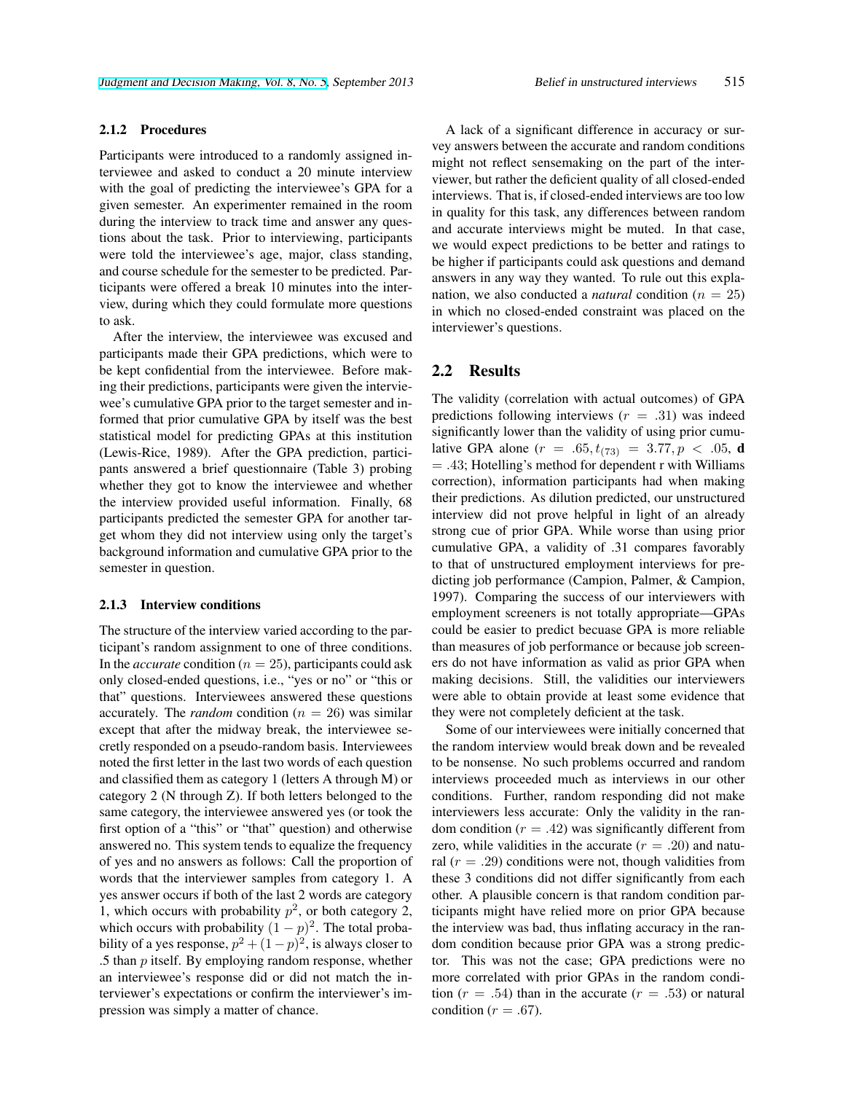#### 2.1.2 Procedures

Participants were introduced to a randomly assigned interviewee and asked to conduct a 20 minute interview with the goal of predicting the interviewee's GPA for a given semester. An experimenter remained in the room during the interview to track time and answer any questions about the task. Prior to interviewing, participants were told the interviewee's age, major, class standing, and course schedule for the semester to be predicted. Participants were offered a break 10 minutes into the interview, during which they could formulate more questions to ask.

After the interview, the interviewee was excused and participants made their GPA predictions, which were to be kept confidential from the interviewee. Before making their predictions, participants were given the interviewee's cumulative GPA prior to the target semester and informed that prior cumulative GPA by itself was the best statistical model for predicting GPAs at this institution (Lewis-Rice, 1989). After the GPA prediction, participants answered a brief questionnaire (Table 3) probing whether they got to know the interviewee and whether the interview provided useful information. Finally, 68 participants predicted the semester GPA for another target whom they did not interview using only the target's background information and cumulative GPA prior to the semester in question.

#### 2.1.3 Interview conditions

The structure of the interview varied according to the participant's random assignment to one of three conditions. In the *accurate* condition ( $n = 25$ ), participants could ask only closed-ended questions, i.e., "yes or no" or "this or that" questions. Interviewees answered these questions accurately. The *random* condition ( $n = 26$ ) was similar except that after the midway break, the interviewee secretly responded on a pseudo-random basis. Interviewees noted the first letter in the last two words of each question and classified them as category 1 (letters A through M) or category 2 (N through Z). If both letters belonged to the same category, the interviewee answered yes (or took the first option of a "this" or "that" question) and otherwise answered no. This system tends to equalize the frequency of yes and no answers as follows: Call the proportion of words that the interviewer samples from category 1. A yes answer occurs if both of the last 2 words are category 1, which occurs with probability  $p^2$ , or both category 2, which occurs with probability  $(1-p)^2$ . The total probability of a yes response,  $p^2 + (1-p)^2$ , is always closer to .5 than *p* itself. By employing random response, whether an interviewee's response did or did not match the interviewer's expectations or confirm the interviewer's impression was simply a matter of chance.

A lack of a significant difference in accuracy or survey answers between the accurate and random conditions might not reflect sensemaking on the part of the interviewer, but rather the deficient quality of all closed-ended interviews. That is, if closed-ended interviews are too low in quality for this task, any differences between random and accurate interviews might be muted. In that case, we would expect predictions to be better and ratings to be higher if participants could ask questions and demand answers in any way they wanted. To rule out this explanation, we also conducted a *natural* condition ( $n = 25$ ) in which no closed-ended constraint was placed on the interviewer's questions.

### 2.2 Results

The validity (correlation with actual outcomes) of GPA predictions following interviews (*r* = *.*31) was indeed significantly lower than the validity of using prior cumulative GPA alone  $(r = .65, t_{(73)} = 3.77, p < .05, d$ = *.*43; Hotelling's method for dependent r with Williams correction), information participants had when making their predictions. As dilution predicted, our unstructured interview did not prove helpful in light of an already strong cue of prior GPA. While worse than using prior cumulative GPA, a validity of .31 compares favorably to that of unstructured employment interviews for predicting job performance (Campion, Palmer, & Campion, 1997). Comparing the success of our interviewers with employment screeners is not totally appropriate—GPAs could be easier to predict becuase GPA is more reliable than measures of job performance or because job screeners do not have information as valid as prior GPA when making decisions. Still, the validities our interviewers were able to obtain provide at least some evidence that they were not completely deficient at the task.

Some of our interviewees were initially concerned that the random interview would break down and be revealed to be nonsense. No such problems occurred and random interviews proceeded much as interviews in our other conditions. Further, random responding did not make interviewers less accurate: Only the validity in the random condition  $(r = .42)$  was significantly different from zero, while validities in the accurate  $(r = .20)$  and natural  $(r = .29)$  conditions were not, though validities from these 3 conditions did not differ significantly from each other. A plausible concern is that random condition participants might have relied more on prior GPA because the interview was bad, thus inflating accuracy in the random condition because prior GPA was a strong predictor. This was not the case; GPA predictions were no more correlated with prior GPAs in the random condition  $(r = .54)$  than in the accurate  $(r = .53)$  or natural condition ( $r = .67$ ).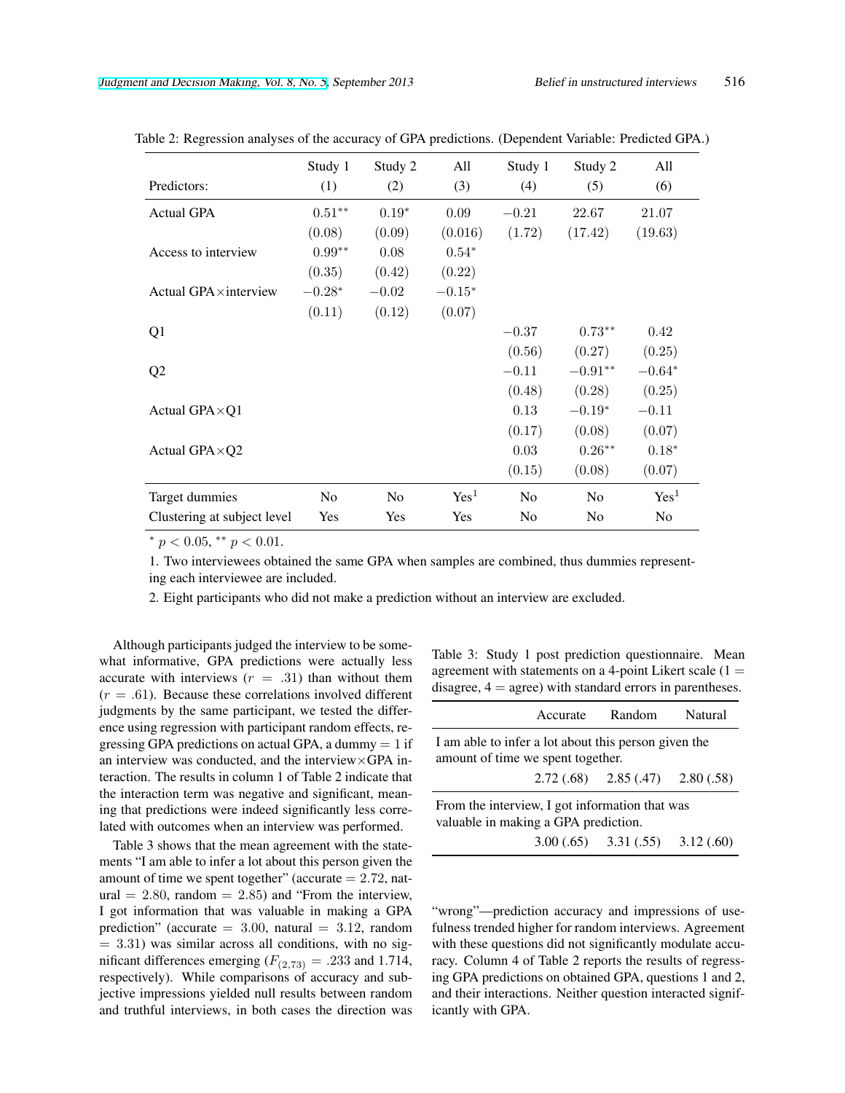| Predictors:                   | Study 1<br>(1) | Study 2<br>(2) | All<br>(3)       | Study 1<br>(4) | Study 2<br>(5) | All<br>(6)       |
|-------------------------------|----------------|----------------|------------------|----------------|----------------|------------------|
| <b>Actual GPA</b>             | $0.51***$      | $0.19*$        | 0.09             | $-0.21$        | 22.67          | 21.07            |
|                               | (0.08)         | (0.09)         | (0.016)          | (1.72)         | (17.42)        | (19.63)          |
| Access to interview           | $0.99**$       | 0.08           | $0.54*$          |                |                |                  |
|                               | (0.35)         | (0.42)         | (0.22)           |                |                |                  |
| Actual GPA $\times$ interview | $-0.28*$       | $-0.02$        | $-0.15*$         |                |                |                  |
|                               | (0.11)         | (0.12)         | (0.07)           |                |                |                  |
| Q <sub>1</sub>                |                |                |                  | $-0.37$        | $0.73**$       | 0.42             |
|                               |                |                |                  | (0.56)         | (0.27)         | (0.25)           |
| Q <sub>2</sub>                |                |                |                  | $-0.11$        | $-0.91**$      | $-0.64*$         |
|                               |                |                |                  | (0.48)         | (0.28)         | (0.25)           |
| Actual GPA $\times$ Q1        |                |                |                  | 0.13           | $-0.19*$       | $-0.11$          |
|                               |                |                |                  | (0.17)         | (0.08)         | (0.07)           |
| Actual GPA×Q2                 |                |                |                  | 0.03           | $0.26***$      | $0.18*$          |
|                               |                |                |                  | (0.15)         | (0.08)         | (0.07)           |
| Target dummies                | No             | N <sub>0</sub> | Yes <sup>1</sup> | No             | N <sub>0</sub> | Yes <sup>1</sup> |
| Clustering at subject level   | Yes            | Yes            | Yes              | N <sub>0</sub> | N <sub>0</sub> | N <sub>o</sub>   |

Table 2: Regression analyses of the accuracy of GPA predictions. (Dependent Variable: Predicted GPA.)

*<sup>∗</sup> p <* 0*.*05, *∗∗ p <* 0*.*01.

1. Two interviewees obtained the same GPA when samples are combined, thus dummies representing each interviewee are included.

2. Eight participants who did not make a prediction without an interview are excluded.

Although participants judged the interview to be somewhat informative, GPA predictions were actually less accurate with interviews  $(r = .31)$  than without them  $(r = .61)$ . Because these correlations involved different judgments by the same participant, we tested the difference using regression with participant random effects, regressing GPA predictions on actual GPA, a dummy  $= 1$  if an interview was conducted, and the interview*×*GPA interaction. The results in column 1 of Table 2 indicate that the interaction term was negative and significant, meaning that predictions were indeed significantly less correlated with outcomes when an interview was performed.

Table 3 shows that the mean agreement with the statements "I am able to infer a lot about this person given the amount of time we spent together" (accurate = 2*.*72, nat- $\text{ural} = 2.80, \text{ random} = 2.85$  and "From the interview, I got information that was valuable in making a GPA prediction" (accurate  $= 3.00$ , natural  $= 3.12$ , random = 3*.*31) was similar across all conditions, with no significant differences emerging  $(F_{(2,73)} = .233$  and 1.714, respectively). While comparisons of accuracy and subjective impressions yielded null results between random and truthful interviews, in both cases the direction was Table 3: Study 1 post prediction questionnaire. Mean agreement with statements on a 4-point Likert scale  $(1 =$ disagree,  $4 = \text{agree}$ ) with standard errors in parentheses.

|                                                                                           | Accurate | Random                              | Natural |  |  |  |
|-------------------------------------------------------------------------------------------|----------|-------------------------------------|---------|--|--|--|
| I am able to infer a lot about this person given the<br>amount of time we spent together. |          |                                     |         |  |  |  |
|                                                                                           |          | $2.72(.68)$ $2.85(.47)$ $2.80(.58)$ |         |  |  |  |
| From the interview, I got information that was<br>valuable in making a GPA prediction.    |          |                                     |         |  |  |  |
|                                                                                           |          | $3.00(.65)$ $3.31(.55)$ $3.12(.60)$ |         |  |  |  |

"wrong"—prediction accuracy and impressions of usefulness trended higher for random interviews. Agreement with these questions did not significantly modulate accuracy. Column 4 of Table 2 reports the results of regressing GPA predictions on obtained GPA, questions 1 and 2, and their interactions. Neither question interacted significantly with GPA.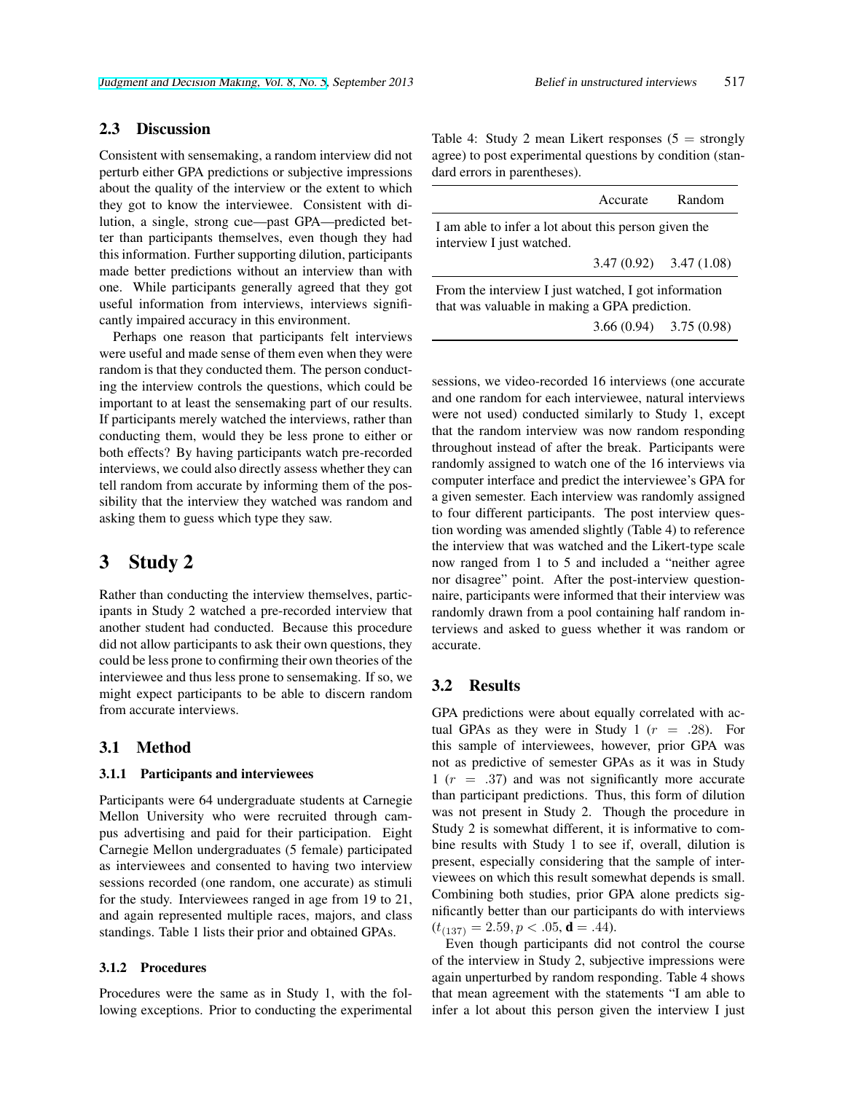### 2.3 Discussion

Consistent with sensemaking, a random interview did not perturb either GPA predictions or subjective impressions about the quality of the interview or the extent to which they got to know the interviewee. Consistent with dilution, a single, strong cue—past GPA—predicted better than participants themselves, even though they had this information. Further supporting dilution, participants made better predictions without an interview than with one. While participants generally agreed that they got useful information from interviews, interviews significantly impaired accuracy in this environment.

Perhaps one reason that participants felt interviews were useful and made sense of them even when they were random is that they conducted them. The person conducting the interview controls the questions, which could be important to at least the sensemaking part of our results. If participants merely watched the interviews, rather than conducting them, would they be less prone to either or both effects? By having participants watch pre-recorded interviews, we could also directly assess whether they can tell random from accurate by informing them of the possibility that the interview they watched was random and asking them to guess which type they saw.

### 3 Study 2

Rather than conducting the interview themselves, participants in Study 2 watched a pre-recorded interview that another student had conducted. Because this procedure did not allow participants to ask their own questions, they could be less prone to confirming their own theories of the interviewee and thus less prone to sensemaking. If so, we might expect participants to be able to discern random from accurate interviews.

### 3.1 Method

#### 3.1.1 Participants and interviewees

Participants were 64 undergraduate students at Carnegie Mellon University who were recruited through campus advertising and paid for their participation. Eight Carnegie Mellon undergraduates (5 female) participated as interviewees and consented to having two interview sessions recorded (one random, one accurate) as stimuli for the study. Interviewees ranged in age from 19 to 21, and again represented multiple races, majors, and class standings. Table 1 lists their prior and obtained GPAs.

#### 3.1.2 Procedures

Procedures were the same as in Study 1, with the following exceptions. Prior to conducting the experimental Table 4: Study 2 mean Likert responses  $(5 =$  strongly agree) to post experimental questions by condition (standard errors in parentheses).

|                                                                                                       | Accurate                  | Random |  |  |  |
|-------------------------------------------------------------------------------------------------------|---------------------------|--------|--|--|--|
| I am able to infer a lot about this person given the<br>interview I just watched.                     |                           |        |  |  |  |
|                                                                                                       | $3.47(0.92)$ $3.47(1.08)$ |        |  |  |  |
| From the interview I just watched, I got information<br>that was valuable in making a GPA prediction. |                           |        |  |  |  |
|                                                                                                       | $3.66(0.94)$ $3.75(0.98)$ |        |  |  |  |

sessions, we video-recorded 16 interviews (one accurate and one random for each interviewee, natural interviews were not used) conducted similarly to Study 1, except that the random interview was now random responding throughout instead of after the break. Participants were randomly assigned to watch one of the 16 interviews via computer interface and predict the interviewee's GPA for a given semester. Each interview was randomly assigned to four different participants. The post interview question wording was amended slightly (Table 4) to reference the interview that was watched and the Likert-type scale now ranged from 1 to 5 and included a "neither agree nor disagree" point. After the post-interview questionnaire, participants were informed that their interview was randomly drawn from a pool containing half random interviews and asked to guess whether it was random or accurate.

### 3.2 Results

GPA predictions were about equally correlated with actual GPAs as they were in Study 1  $(r = .28)$ . For this sample of interviewees, however, prior GPA was not as predictive of semester GPAs as it was in Study 1 (*r* = *.*37) and was not significantly more accurate than participant predictions. Thus, this form of dilution was not present in Study 2. Though the procedure in Study 2 is somewhat different, it is informative to combine results with Study 1 to see if, overall, dilution is present, especially considering that the sample of interviewees on which this result somewhat depends is small. Combining both studies, prior GPA alone predicts significantly better than our participants do with interviews  $(t_{(137)} = 2.59, p < .05, d = .44)$ .

Even though participants did not control the course of the interview in Study 2, subjective impressions were again unperturbed by random responding. Table 4 shows that mean agreement with the statements "I am able to infer a lot about this person given the interview I just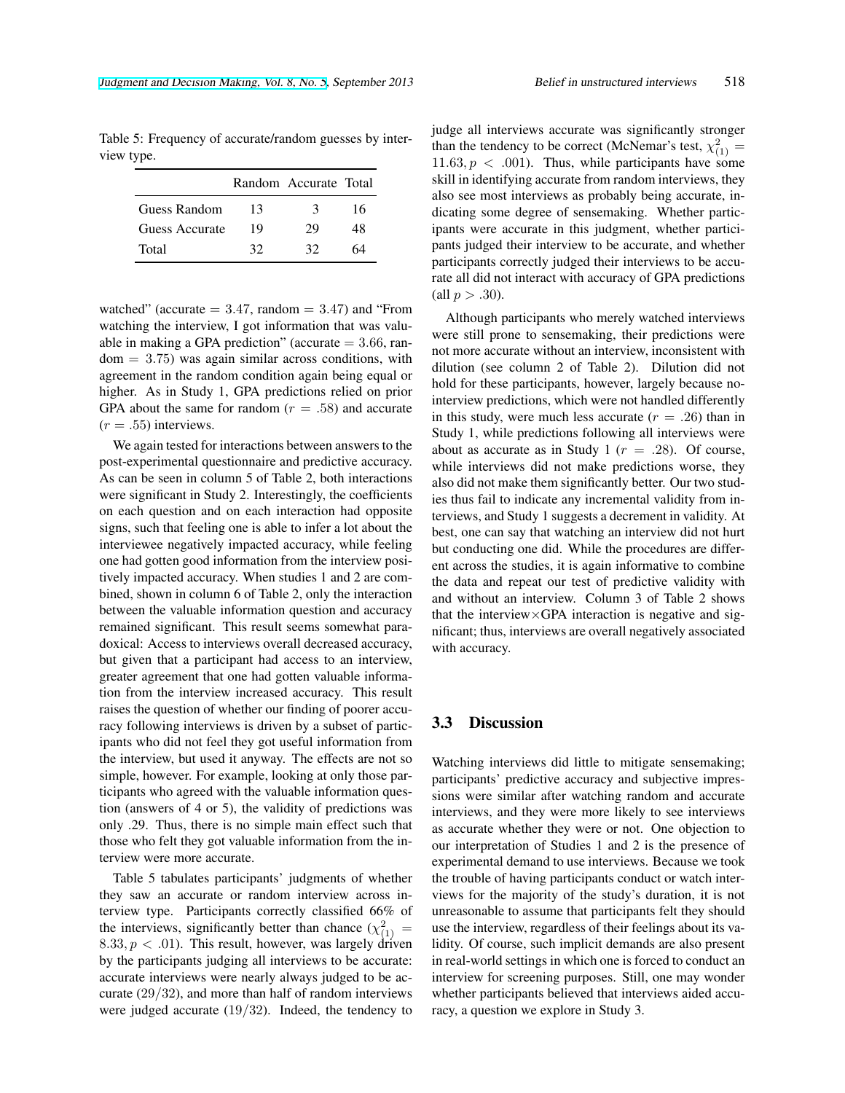Table 5: Frequency of accurate/random guesses by interview type.

|                |    | Random Accurate Total |    |
|----------------|----|-----------------------|----|
| Guess Random   | 13 | 3                     | 16 |
| Guess Accurate | 19 | 29                    | 48 |
| Total          | 32 | 32                    |    |

watched" (accurate  $= 3.47$ , random  $= 3.47$ ) and "From watching the interview, I got information that was valuable in making a GPA prediction" (accurate = 3*.*66, random = 3*.*75) was again similar across conditions, with agreement in the random condition again being equal or higher. As in Study 1, GPA predictions relied on prior GPA about the same for random  $(r = .58)$  and accurate  $(r = .55)$  interviews.

We again tested for interactions between answers to the post-experimental questionnaire and predictive accuracy. As can be seen in column 5 of Table 2, both interactions were significant in Study 2. Interestingly, the coefficients on each question and on each interaction had opposite signs, such that feeling one is able to infer a lot about the interviewee negatively impacted accuracy, while feeling one had gotten good information from the interview positively impacted accuracy. When studies 1 and 2 are combined, shown in column 6 of Table 2, only the interaction between the valuable information question and accuracy remained significant. This result seems somewhat paradoxical: Access to interviews overall decreased accuracy, but given that a participant had access to an interview, greater agreement that one had gotten valuable information from the interview increased accuracy. This result raises the question of whether our finding of poorer accuracy following interviews is driven by a subset of participants who did not feel they got useful information from the interview, but used it anyway. The effects are not so simple, however. For example, looking at only those participants who agreed with the valuable information question (answers of 4 or 5), the validity of predictions was only .29. Thus, there is no simple main effect such that those who felt they got valuable information from the interview were more accurate.

Table 5 tabulates participants' judgments of whether they saw an accurate or random interview across interview type. Participants correctly classified 66% of the interviews, significantly better than chance  $(\chi^2_{(1)} =$  $8.33, p < .01$ ). This result, however, was largely driven by the participants judging all interviews to be accurate: accurate interviews were nearly always judged to be accurate (29*/*32), and more than half of random interviews were judged accurate (19*/*32). Indeed, the tendency to

judge all interviews accurate was significantly stronger than the tendency to be correct (McNemar's test,  $\chi^2_{(1)} =$  $11.63, p \, < .001$ ). Thus, while participants have some skill in identifying accurate from random interviews, they also see most interviews as probably being accurate, indicating some degree of sensemaking. Whether participants were accurate in this judgment, whether participants judged their interview to be accurate, and whether participants correctly judged their interviews to be accurate all did not interact with accuracy of GPA predictions  $\text{(all } p > .30).$ 

Although participants who merely watched interviews were still prone to sensemaking, their predictions were not more accurate without an interview, inconsistent with dilution (see column 2 of Table 2). Dilution did not hold for these participants, however, largely because nointerview predictions, which were not handled differently in this study, were much less accurate  $(r = .26)$  than in Study 1, while predictions following all interviews were about as accurate as in Study 1 ( $r = .28$ ). Of course, while interviews did not make predictions worse, they also did not make them significantly better. Our two studies thus fail to indicate any incremental validity from interviews, and Study 1 suggests a decrement in validity. At best, one can say that watching an interview did not hurt but conducting one did. While the procedures are different across the studies, it is again informative to combine the data and repeat our test of predictive validity with and without an interview. Column 3 of Table 2 shows that the interview*×*GPA interaction is negative and significant; thus, interviews are overall negatively associated with accuracy.

### 3.3 Discussion

Watching interviews did little to mitigate sensemaking; participants' predictive accuracy and subjective impressions were similar after watching random and accurate interviews, and they were more likely to see interviews as accurate whether they were or not. One objection to our interpretation of Studies 1 and 2 is the presence of experimental demand to use interviews. Because we took the trouble of having participants conduct or watch interviews for the majority of the study's duration, it is not unreasonable to assume that participants felt they should use the interview, regardless of their feelings about its validity. Of course, such implicit demands are also present in real-world settings in which one is forced to conduct an interview for screening purposes. Still, one may wonder whether participants believed that interviews aided accuracy, a question we explore in Study 3.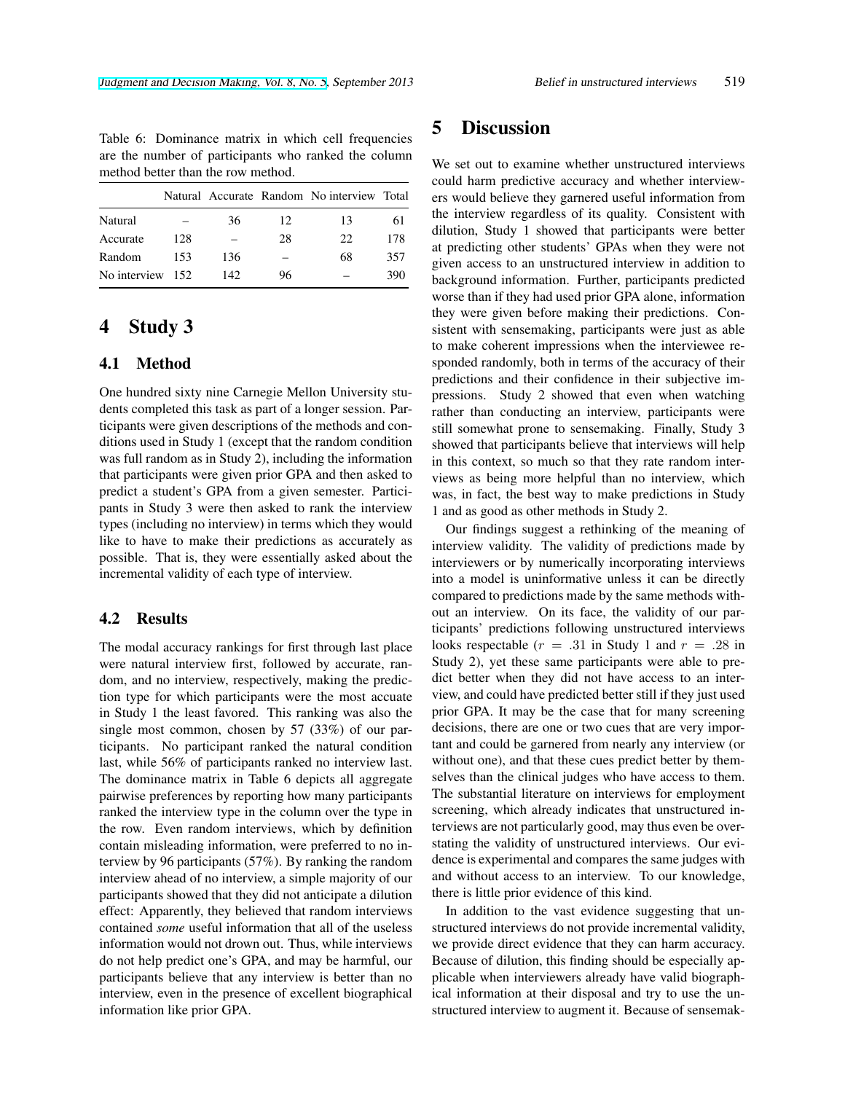Table 6: Dominance matrix in which cell frequencies are the number of participants who ranked the column method better than the row method.

|                  |     |      |     | Natural Accurate Random No interview Total |     |
|------------------|-----|------|-----|--------------------------------------------|-----|
| Natural          |     | 36   | 12. | 13                                         | 61  |
| Accurate         | 128 |      | 28  | 22                                         | 178 |
| Random           | 153 | 136  |     | 68                                         | 357 |
| No interview 152 |     | 142. | 96  |                                            | 390 |

# 4 Study 3

### 4.1 Method

One hundred sixty nine Carnegie Mellon University students completed this task as part of a longer session. Participants were given descriptions of the methods and conditions used in Study 1 (except that the random condition was full random as in Study 2), including the information that participants were given prior GPA and then asked to predict a student's GPA from a given semester. Participants in Study 3 were then asked to rank the interview types (including no interview) in terms which they would like to have to make their predictions as accurately as possible. That is, they were essentially asked about the incremental validity of each type of interview.

### 4.2 Results

The modal accuracy rankings for first through last place were natural interview first, followed by accurate, random, and no interview, respectively, making the prediction type for which participants were the most accuate in Study 1 the least favored. This ranking was also the single most common, chosen by 57 (33%) of our participants. No participant ranked the natural condition last, while 56% of participants ranked no interview last. The dominance matrix in Table 6 depicts all aggregate pairwise preferences by reporting how many participants ranked the interview type in the column over the type in the row. Even random interviews, which by definition contain misleading information, were preferred to no interview by 96 participants (57%). By ranking the random interview ahead of no interview, a simple majority of our participants showed that they did not anticipate a dilution effect: Apparently, they believed that random interviews contained *some* useful information that all of the useless information would not drown out. Thus, while interviews do not help predict one's GPA, and may be harmful, our participants believe that any interview is better than no interview, even in the presence of excellent biographical information like prior GPA.

# 5 Discussion

We set out to examine whether unstructured interviews could harm predictive accuracy and whether interviewers would believe they garnered useful information from the interview regardless of its quality. Consistent with dilution, Study 1 showed that participants were better at predicting other students' GPAs when they were not given access to an unstructured interview in addition to background information. Further, participants predicted worse than if they had used prior GPA alone, information they were given before making their predictions. Consistent with sensemaking, participants were just as able to make coherent impressions when the interviewee responded randomly, both in terms of the accuracy of their predictions and their confidence in their subjective impressions. Study 2 showed that even when watching rather than conducting an interview, participants were still somewhat prone to sensemaking. Finally, Study 3 showed that participants believe that interviews will help in this context, so much so that they rate random interviews as being more helpful than no interview, which was, in fact, the best way to make predictions in Study 1 and as good as other methods in Study 2.

Our findings suggest a rethinking of the meaning of interview validity. The validity of predictions made by interviewers or by numerically incorporating interviews into a model is uninformative unless it can be directly compared to predictions made by the same methods without an interview. On its face, the validity of our participants' predictions following unstructured interviews looks respectable  $(r = .31$  in Study 1 and  $r = .28$  in Study 2), yet these same participants were able to predict better when they did not have access to an interview, and could have predicted better still if they just used prior GPA. It may be the case that for many screening decisions, there are one or two cues that are very important and could be garnered from nearly any interview (or without one), and that these cues predict better by themselves than the clinical judges who have access to them. The substantial literature on interviews for employment screening, which already indicates that unstructured interviews are not particularly good, may thus even be overstating the validity of unstructured interviews. Our evidence is experimental and compares the same judges with and without access to an interview. To our knowledge, there is little prior evidence of this kind.

In addition to the vast evidence suggesting that unstructured interviews do not provide incremental validity, we provide direct evidence that they can harm accuracy. Because of dilution, this finding should be especially applicable when interviewers already have valid biographical information at their disposal and try to use the unstructured interview to augment it. Because of sensemak